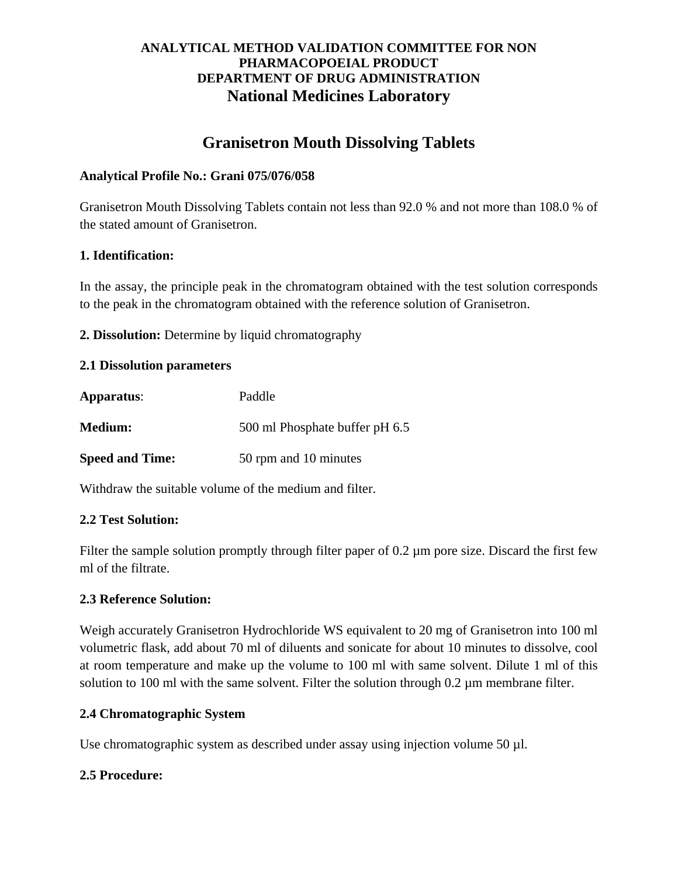# **ANALYTICAL METHOD VALIDATION COMMITTEE FOR NON PHARMACOPOEIAL PRODUCT DEPARTMENT OF DRUG ADMINISTRATION National Medicines Laboratory**

# **Granisetron Mouth Dissolving Tablets**

## **Analytical Profile No.: Grani 075/076/058**

Granisetron Mouth Dissolving Tablets contain not less than 92.0 % and not more than 108.0 % of the stated amount of Granisetron.

## **1. Identification:**

In the assay, the principle peak in the chromatogram obtained with the test solution corresponds to the peak in the chromatogram obtained with the reference solution of Granisetron.

**2. Dissolution:** Determine by liquid chromatography

## **2.1 Dissolution parameters**

| Apparatus:             | Paddle                         |
|------------------------|--------------------------------|
| <b>Medium:</b>         | 500 ml Phosphate buffer pH 6.5 |
| <b>Speed and Time:</b> | 50 rpm and 10 minutes          |

Withdraw the suitable volume of the medium and filter.

## **2.2 Test Solution:**

Filter the sample solution promptly through filter paper of 0.2 um pore size. Discard the first few ml of the filtrate.

## **2.3 Reference Solution:**

Weigh accurately Granisetron Hydrochloride WS equivalent to 20 mg of Granisetron into 100 ml volumetric flask, add about 70 ml of diluents and sonicate for about 10 minutes to dissolve, cool at room temperature and make up the volume to 100 ml with same solvent. Dilute 1 ml of this solution to 100 ml with the same solvent. Filter the solution through 0.2 µm membrane filter.

## **2.4 Chromatographic System**

Use chromatographic system as described under assay using injection volume 50 µl.

## **2.5 Procedure:**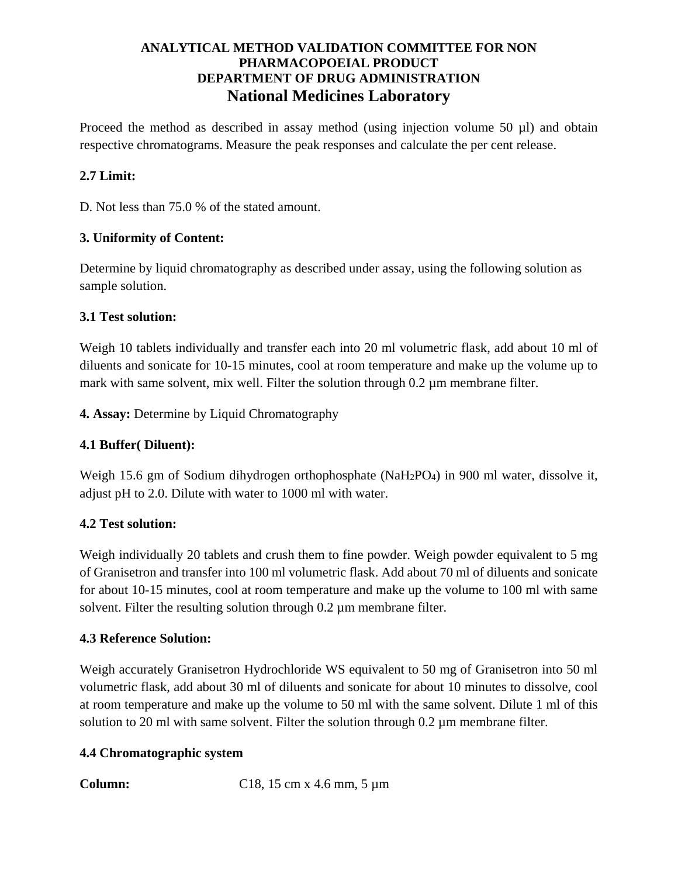# **ANALYTICAL METHOD VALIDATION COMMITTEE FOR NON PHARMACOPOEIAL PRODUCT DEPARTMENT OF DRUG ADMINISTRATION National Medicines Laboratory**

Proceed the method as described in assay method (using injection volume 50 µl) and obtain respective chromatograms. Measure the peak responses and calculate the per cent release.

# **2.7 Limit:**

D. Not less than 75.0 % of the stated amount.

## **3. Uniformity of Content:**

Determine by liquid chromatography as described under assay, using the following solution as sample solution.

## **3.1 Test solution:**

Weigh 10 tablets individually and transfer each into 20 ml volumetric flask, add about 10 ml of diluents and sonicate for 10-15 minutes, cool at room temperature and make up the volume up to mark with same solvent, mix well. Filter the solution through 0.2 µm membrane filter.

**4. Assay:** Determine by Liquid Chromatography

# **4.1 Buffer( Diluent):**

Weigh 15.6 gm of Sodium dihydrogen orthophosphate (NaH2PO4) in 900 ml water, dissolve it, adjust pH to 2.0. Dilute with water to 1000 ml with water.

## **4.2 Test solution:**

Weigh individually 20 tablets and crush them to fine powder. Weigh powder equivalent to 5 mg of Granisetron and transfer into 100 ml volumetric flask. Add about 70 ml of diluents and sonicate for about 10-15 minutes, cool at room temperature and make up the volume to 100 ml with same solvent. Filter the resulting solution through  $0.2 \mu$ m membrane filter.

## **4.3 Reference Solution:**

Weigh accurately Granisetron Hydrochloride WS equivalent to 50 mg of Granisetron into 50 ml volumetric flask, add about 30 ml of diluents and sonicate for about 10 minutes to dissolve, cool at room temperature and make up the volume to 50 ml with the same solvent. Dilute 1 ml of this solution to 20 ml with same solvent. Filter the solution through 0.2  $\mu$ m membrane filter.

## **4.4 Chromatographic system**

**Column:** C18, 15 cm x 4.6 mm, 5 μm